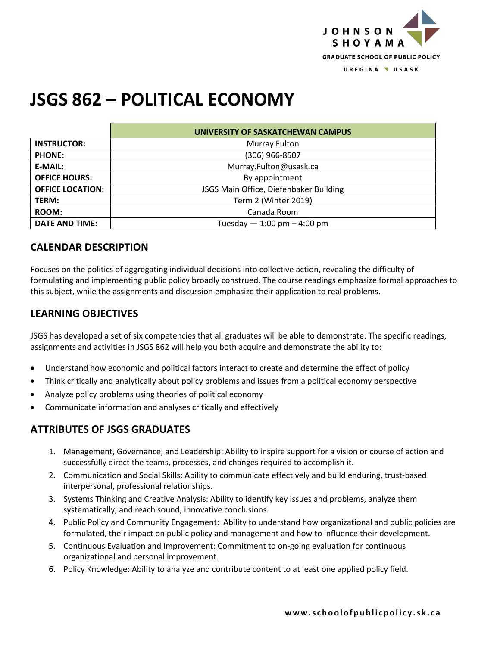

# **JSGS 862 – POLITICAL ECONOMY**

|                         | UNIVERSITY OF SASKATCHEWAN CAMPUS      |
|-------------------------|----------------------------------------|
| <b>INSTRUCTOR:</b>      | Murray Fulton                          |
| <b>PHONE:</b>           | (306) 966-8507                         |
| <b>E-MAIL:</b>          | Murray.Fulton@usask.ca                 |
| <b>OFFICE HOURS:</b>    | By appointment                         |
| <b>OFFICE LOCATION:</b> | JSGS Main Office, Diefenbaker Building |
| <b>TERM:</b>            | Term 2 (Winter 2019)                   |
| <b>ROOM:</b>            | Canada Room                            |
| <b>DATE AND TIME:</b>   | Tuesday $-1:00$ pm $-4:00$ pm          |

# **CALENDAR DESCRIPTION**

Focuses on the politics of aggregating individual decisions into collective action, revealing the difficulty of formulating and implementing public policy broadly construed. The course readings emphasize formal approaches to this subject, while the assignments and discussion emphasize their application to real problems.

# **LEARNING OBJECTIVES**

JSGS has developed a set of six competencies that all graduates will be able to demonstrate. The specific readings, assignments and activities in JSGS 862 will help you both acquire and demonstrate the ability to:

- Understand how economic and political factors interact to create and determine the effect of policy
- Think critically and analytically about policy problems and issues from a political economy perspective
- Analyze policy problems using theories of political economy
- Communicate information and analyses critically and effectively

# **ATTRIBUTES OF JSGS GRADUATES**

- 1. Management, Governance, and Leadership: Ability to inspire support for a vision or course of action and successfully direct the teams, processes, and changes required to accomplish it.
- 2. Communication and Social Skills: Ability to communicate effectively and build enduring, trust-based interpersonal, professional relationships.
- 3. Systems Thinking and Creative Analysis: Ability to identify key issues and problems, analyze them systematically, and reach sound, innovative conclusions.
- 4. Public Policy and Community Engagement: Ability to understand how organizational and public policies are formulated, their impact on public policy and management and how to influence their development.
- 5. Continuous Evaluation and Improvement: Commitment to on-going evaluation for continuous organizational and personal improvement.
- 6. Policy Knowledge: Ability to analyze and contribute content to at least one applied policy field.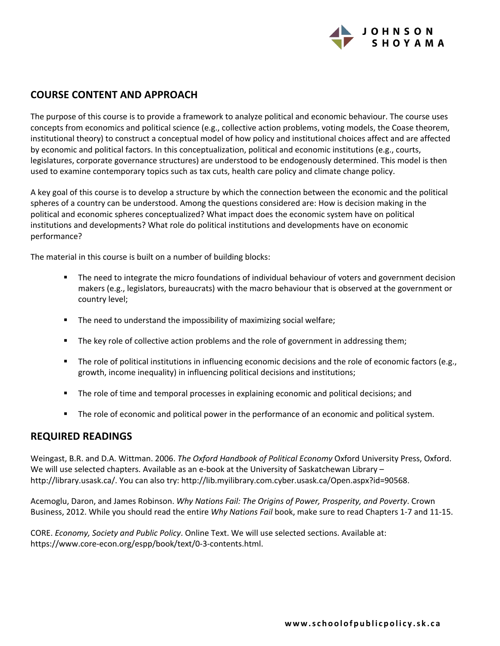

# **COURSE CONTENT AND APPROACH**

The purpose of this course is to provide a framework to analyze political and economic behaviour. The course uses concepts from economics and political science (e.g., collective action problems, voting models, the Coase theorem, institutional theory) to construct a conceptual model of how policy and institutional choices affect and are affected by economic and political factors. In this conceptualization, political and economic institutions (e.g., courts, legislatures, corporate governance structures) are understood to be endogenously determined. This model is then used to examine contemporary topics such as tax cuts, health care policy and climate change policy.

A key goal of this course is to develop a structure by which the connection between the economic and the political spheres of a country can be understood. Among the questions considered are: How is decision making in the political and economic spheres conceptualized? What impact does the economic system have on political institutions and developments? What role do political institutions and developments have on economic performance?

The material in this course is built on a number of building blocks:

- The need to integrate the micro foundations of individual behaviour of voters and government decision makers (e.g., legislators, bureaucrats) with the macro behaviour that is observed at the government or country level;
- The need to understand the impossibility of maximizing social welfare;
- **•** The key role of collective action problems and the role of government in addressing them;
- The role of political institutions in influencing economic decisions and the role of economic factors (e.g., growth, income inequality) in influencing political decisions and institutions;
- The role of time and temporal processes in explaining economic and political decisions; and
- The role of economic and political power in the performance of an economic and political system.

## **REQUIRED READINGS**

Weingast, B.R. and D.A. Wittman. 2006. *The Oxford Handbook of Political Economy* Oxford University Press, Oxford. We will use selected chapters. Available as an e-book at the University of Saskatchewan Library – http://library.usask.ca/. You can also try: http://lib.myilibrary.com.cyber.usask.ca/Open.aspx?id=90568.

Acemoglu, Daron, and James Robinson. *Why Nations Fail: The Origins of Power, Prosperity, and Poverty*. Crown Business, 2012. While you should read the entire *Why Nations Fail* book, make sure to read Chapters 1-7 and 11-15.

CORE. *Economy, Society and Public Policy*. Online Text. We will use selected sections. Available at: https://www.core-econ.org/espp/book/text/0-3-contents.html.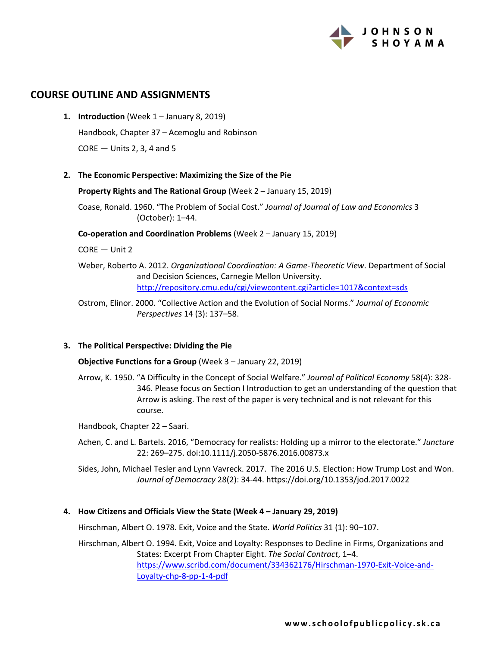

## **COURSE OUTLINE AND ASSIGNMENTS**

- **1. Introduction** (Week 1 January 8, 2019) Handbook, Chapter 37 – Acemoglu and Robinson CORE — Units 2, 3, 4 and 5
- **2. The Economic Perspective: Maximizing the Size of the Pie**

**Property Rights and The Rational Group** (Week 2 – January 15, 2019)

Coase, Ronald. 1960. "The Problem of Social Cost." *Journal of Journal of Law and Economics* 3 (October): 1–44.

**Co-operation and Coordination Problems** (Week 2 – January 15, 2019)

CORE — Unit 2

Weber, Roberto A. 2012. *Organizational Coordination: A Game-Theoretic View*. Department of Social and Decision Sciences, Carnegie Mellon University. http://repository.cmu.edu/cgi/viewcontent.cgi?article=1017&context=sds

Ostrom, Elinor. 2000. "Collective Action and the Evolution of Social Norms." *Journal of Economic Perspectives* 14 (3): 137–58.

## **3. The Political Perspective: Dividing the Pie**

**Objective Functions for a Group** (Week 3 – January 22, 2019)

Arrow, K. 1950. "A Difficulty in the Concept of Social Welfare." *Journal of Political Economy* 58(4): 328- 346. Please focus on Section I Introduction to get an understanding of the question that Arrow is asking. The rest of the paper is very technical and is not relevant for this course.

Handbook, Chapter 22 – Saari.

Achen, C. and L. Bartels. 2016, "Democracy for realists: Holding up a mirror to the electorate." *Juncture* 22: 269–275. doi:10.1111/j.2050-5876.2016.00873.x

Sides, John, Michael Tesler and Lynn Vavreck. 2017. The 2016 U.S. Election: How Trump Lost and Won. *Journal of Democracy* 28(2): 34-44. https://doi.org/10.1353/jod.2017.0022

#### **4. How Citizens and Officials View the State (Week 4 – January 29, 2019)**

Hirschman, Albert O. 1978. Exit, Voice and the State. *World Politics* 31 (1): 90–107.

Hirschman, Albert O. 1994. Exit, Voice and Loyalty: Responses to Decline in Firms, Organizations and States: Excerpt From Chapter Eight. *The Social Contract*, 1–4. https://www.scribd.com/document/334362176/Hirschman-1970-Exit-Voice-and-Loyalty-chp-8-pp-1-4-pdf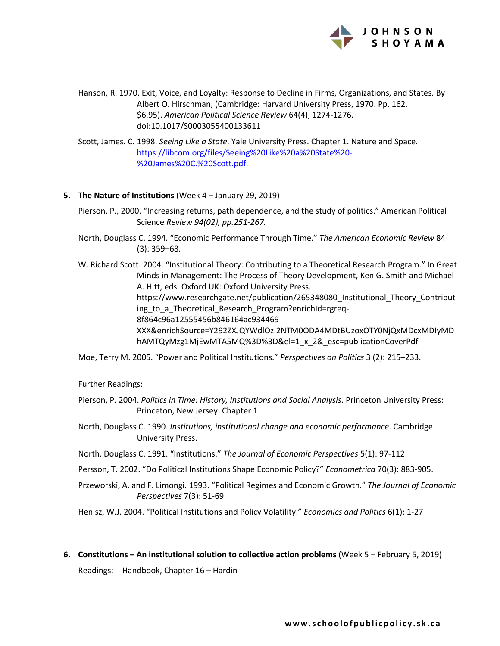

Hanson, R. 1970. Exit, Voice, and Loyalty: Response to Decline in Firms, Organizations, and States. By Albert O. Hirschman, (Cambridge: Harvard University Press, 1970. Pp. 162. \$6.95). *American Political Science Review* 64(4), 1274-1276. doi:10.1017/S0003055400133611

Scott, James. C. 1998. *Seeing Like a State*. Yale University Press. Chapter 1. Nature and Space. https://libcom.org/files/Seeing%20Like%20a%20State%20- %20James%20C.%20Scott.pdf.

#### **5. The Nature of Institutions** (Week 4 – January 29, 2019)

Pierson, P., 2000. "Increasing returns, path dependence, and the study of politics." American Political Science *Review 94(02), pp.251-267.*

North, Douglass C. 1994. "Economic Performance Through Time." *The American Economic Review* 84 (3): 359–68.

W. Richard Scott. 2004. "Institutional Theory: Contributing to a Theoretical Research Program." In Great Minds in Management: The Process of Theory Development, Ken G. Smith and Michael A. Hitt, eds. Oxford UK: Oxford University Press. https://www.researchgate.net/publication/265348080\_Institutional\_Theory\_Contribut ing\_to\_a\_Theoretical\_Research\_Program?enrichId=rgreq-8f864c96a12555456b846164ac934469- XXX&enrichSource=Y292ZXJQYWdlOzI2NTM0ODA4MDtBUzoxOTY0NjQxMDcxMDIyMD hAMTQyMzg1MjEwMTA5MQ%3D%3D&el=1\_x\_2&\_esc=publicationCoverPdf

Moe, Terry M. 2005. "Power and Political Institutions." *Perspectives on Politics* 3 (2): 215–233.

Further Readings:

- Pierson, P. 2004. *Politics in Time: History, Institutions and Social Analysis*. Princeton University Press: Princeton, New Jersey. Chapter 1.
- North, Douglass C. 1990. *Institutions, institutional change and economic performance*. Cambridge University Press.
- North, Douglass C. 1991. "Institutions." *The Journal of Economic Perspectives* 5(1): 97-112
- Persson, T. 2002. "Do Political Institutions Shape Economic Policy?" *Econometrica* 70(3): 883-905.

Przeworski, A. and F. Limongi. 1993. "Political Regimes and Economic Growth." *The Journal of Economic Perspectives* 7(3): 51-69

Henisz, W.J. 2004. "Political Institutions and Policy Volatility." *Economics and Politics* 6(1): 1-27

**6. Constitutions – An institutional solution to collective action problems** (Week 5 – February 5, 2019)

Readings: Handbook, Chapter 16 – Hardin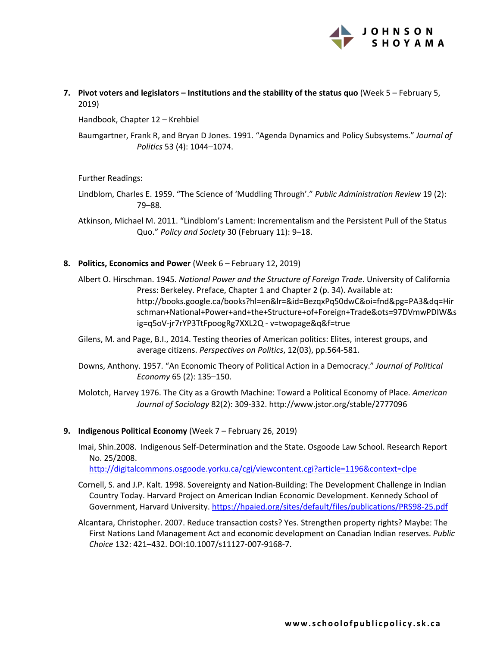

**7. Pivot voters and legislators – Institutions and the stability of the status quo** (Week 5 – February 5, 2019)

Handbook, Chapter 12 – Krehbiel

Baumgartner, Frank R, and Bryan D Jones. 1991. "Agenda Dynamics and Policy Subsystems." *Journal of Politics* 53 (4): 1044–1074.

Further Readings:

Lindblom, Charles E. 1959. "The Science of 'Muddling Through'." *Public Administration Review* 19 (2): 79–88.

Atkinson, Michael M. 2011. "Lindblom's Lament: Incrementalism and the Persistent Pull of the Status Quo." *Policy and Society* 30 (February 11): 9–18.

**8. Politics, Economics and Power** (Week 6 – February 12, 2019)

Albert O. Hirschman. 1945. *National Power and the Structure of Foreign Trade*. University of California Press: Berkeley. Preface, Chapter 1 and Chapter 2 (p. 34). Available at: http://books.google.ca/books?hl=en&lr=&id=BezqxPq50dwC&oi=fnd&pg=PA3&dq=Hir schman+National+Power+and+the+Structure+of+Foreign+Trade&ots=97DVmwPDIW&s ig=q5oV-jr7rYP3TtFpoogRg7XXL2Q - v=twopage&q&f=true

- Gilens, M. and Page, B.I., 2014. Testing theories of American politics: Elites, interest groups, and average citizens. *Perspectives on Politics*, 12(03), pp.564-581.
- Downs, Anthony. 1957. "An Economic Theory of Political Action in a Democracy." *Journal of Political Economy* 65 (2): 135–150.

Molotch, Harvey 1976. The City as a Growth Machine: Toward a Political Economy of Place. *American Journal of Sociology* 82(2): 309-332. http://www.jstor.org/stable/2777096

#### **9. Indigenous Political Economy** (Week 7 – February 26, 2019)

Imai, Shin.2008. Indigenous Self-Determination and the State. Osgoode Law School. Research Report No. 25/2008.

http://digitalcommons.osgoode.yorku.ca/cgi/viewcontent.cgi?article=1196&context=clpe

- Cornell, S. and J.P. Kalt. 1998. Sovereignty and Nation-Building: The Development Challenge in Indian Country Today. Harvard Project on American Indian Economic Development. Kennedy School of Government, Harvard University. https://hpaied.org/sites/default/files/publications/PRS98-25.pdf
- Alcantara, Christopher. 2007. Reduce transaction costs? Yes. Strengthen property rights? Maybe: The First Nations Land Management Act and economic development on Canadian Indian reserves. *Public Choice* 132: 421–432. DOI:10.1007/s11127-007-9168-7.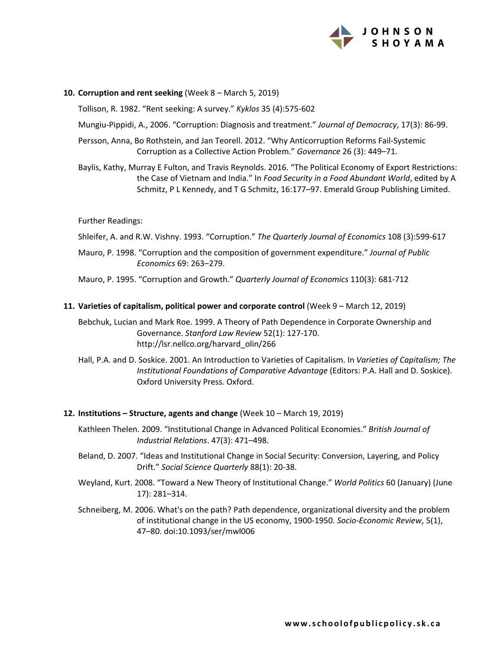

#### **10. Corruption and rent seeking** (Week 8 – March 5, 2019)

Tollison, R. 1982. "Rent seeking: A survey." *Kyklos* 35 (4):575-602

Mungiu-Pippidi, A., 2006. "Corruption: Diagnosis and treatment." *Journal of Democracy*, 17(3): 86-99.

Persson, Anna, Bo Rothstein, and Jan Teorell. 2012. "Why Anticorruption Reforms Fail-Systemic Corruption as a Collective Action Problem." *Governance* 26 (3): 449–71.

Baylis, Kathy, Murray E Fulton, and Travis Reynolds. 2016. "The Political Economy of Export Restrictions: the Case of Vietnam and India." In *Food Security in a Food Abundant World*, edited by A Schmitz, P L Kennedy, and T G Schmitz, 16:177–97. Emerald Group Publishing Limited.

#### Further Readings:

Shleifer, A. and R.W. Vishny. 1993. "Corruption." *The Quarterly Journal of Economics* 108 (3):599-617

Mauro, P. 1998. "Corruption and the composition of government expenditure." *Journal of Public Economics* 69: 263–279.

Mauro, P. 1995. "Corruption and Growth." *Quarterly Journal of Economics* 110(3): 681-712

#### **11. Varieties of capitalism, political power and corporate control** (Week 9 – March 12, 2019)

Bebchuk, Lucian and Mark Roe. 1999. A Theory of Path Dependence in Corporate Ownership and Governance. *Stanford Law Review* 52(1): 127-170. http://lsr.nellco.org/harvard\_olin/266

Hall, P.A. and D. Soskice. 2001. An Introduction to Varieties of Capitalism. In *Varieties of Capitalism; The Institutional Foundations of Comparative Advantage* (Editors: P.A. Hall and D. Soskice). Oxford University Press. Oxford.

#### **12. Institutions – Structure, agents and change** (Week 10 – March 19, 2019)

- Kathleen Thelen. 2009. "Institutional Change in Advanced Political Economies." *British Journal of Industrial Relations*. 47(3): 471–498.
- Beland, D. 2007. "Ideas and Institutional Change in Social Security: Conversion, Layering, and Policy Drift." *Social Science Quarterly* 88(1): 20-38.
- Weyland, Kurt. 2008. "Toward a New Theory of Institutional Change." *World Politics* 60 (January) (June 17): 281–314.
- Schneiberg, M. 2006. What's on the path? Path dependence, organizational diversity and the problem of institutional change in the US economy, 1900-1950. *Socio-Economic Review*, 5(1), 47–80. doi:10.1093/ser/mwl006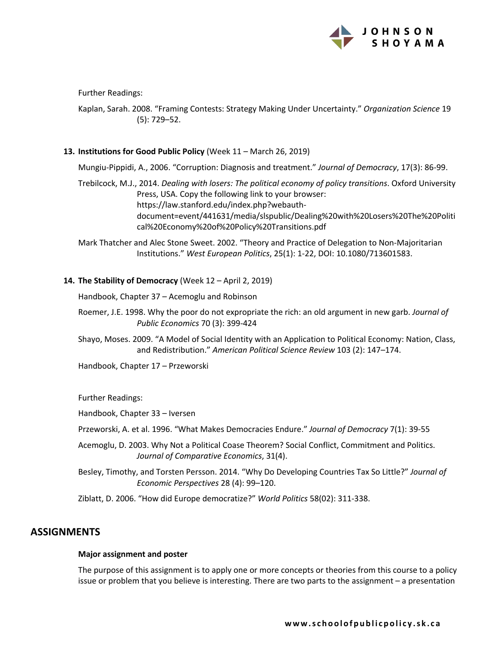

Further Readings:

Kaplan, Sarah. 2008. "Framing Contests: Strategy Making Under Uncertainty." *Organization Science* 19 (5): 729–52.

## **13. Institutions for Good Public Policy** (Week 11 – March 26, 2019)

Mungiu-Pippidi, A., 2006. "Corruption: Diagnosis and treatment." *Journal of Democracy*, 17(3): 86-99.

Trebilcock, M.J., 2014. *Dealing with losers: The political economy of policy transitions*. Oxford University Press, USA. Copy the following link to your browser: https://law.stanford.edu/index.php?webauthdocument=event/441631/media/slspublic/Dealing%20with%20Losers%20The%20Politi cal%20Economy%20of%20Policy%20Transitions.pdf

Mark Thatcher and Alec Stone Sweet. 2002. "Theory and Practice of Delegation to Non-Majoritarian Institutions." *West European Politics*, 25(1): 1-22, DOI: 10.1080/713601583.

## **14. The Stability of Democracy** (Week 12 – April 2, 2019)

Handbook, Chapter 37 – Acemoglu and Robinson

- Roemer, J.E. 1998. Why the poor do not expropriate the rich: an old argument in new garb. *Journal of Public Economics* 70 (3): 399-424
- Shayo, Moses. 2009. "A Model of Social Identity with an Application to Political Economy: Nation, Class, and Redistribution." *American Political Science Review* 103 (2): 147–174.

Handbook, Chapter 17 – Przeworski

Further Readings:

Handbook, Chapter 33 – Iversen

- Przeworski, A. et al. 1996. "What Makes Democracies Endure." *Journal of Democracy* 7(1): 39-55
- Acemoglu, D. 2003. Why Not a Political Coase Theorem? Social Conflict, Commitment and Politics. *Journal of Comparative Economics*, 31(4).
- Besley, Timothy, and Torsten Persson. 2014. "Why Do Developing Countries Tax So Little?" *Journal of Economic Perspectives* 28 (4): 99–120.

Ziblatt, D. 2006. "How did Europe democratize?" *World Politics* 58(02): 311-338.

## **ASSIGNMENTS**

#### **Major assignment and poster**

The purpose of this assignment is to apply one or more concepts or theories from this course to a policy issue or problem that you believe is interesting. There are two parts to the assignment – a presentation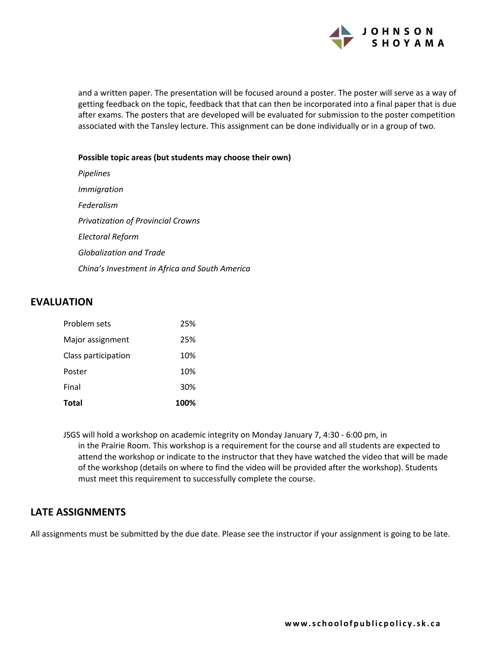

and a written paper. The presentation will be focused around a poster. The poster will serve as a way of getting feedback on the topic, feedback that that can then be incorporated into a final paper that is due after exams. The posters that are developed will be evaluated for submission to the poster competition associated with the Tansley lecture. This assignment can be done individually or in a group of two.

#### **Possible topic areas (but students may choose their own)**

*Pipelines Immigration Federalism Privatization of Provincial Crowns Electoral Reform Globalization and Trade China's Investment in Africa and South America*

# **EVALUATION**

| <b>Total</b>        | 100% |
|---------------------|------|
| Final               | 30%  |
| Poster              | 10%  |
| Class participation | 10%  |
| Major assignment    | 25%  |
| Problem sets        | 25%  |

JSGS will hold a workshop on academic integrity on Monday January 7, 4:30 - 6:00 pm, in in the Prairie Room. This workshop is a requirement for the course and all students are expected to attend the workshop or indicate to the instructor that they have watched the video that will be made of the workshop (details on where to find the video will be provided after the workshop). Students must meet this requirement to successfully complete the course.

# **LATE ASSIGNMENTS**

All assignments must be submitted by the due date. Please see the instructor if your assignment is going to be late.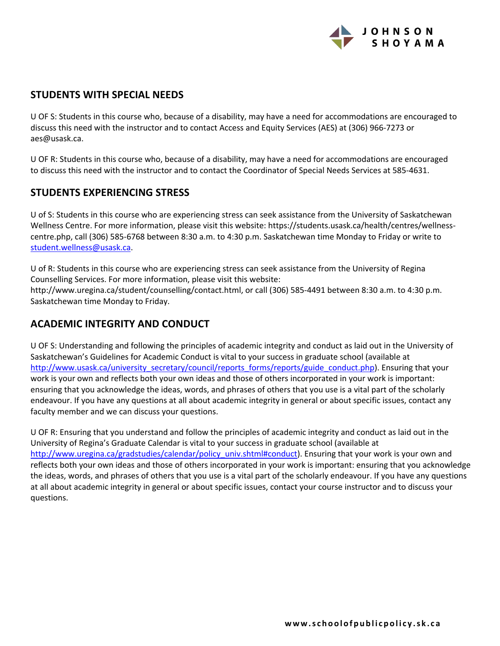

## **STUDENTS WITH SPECIAL NEEDS**

U OF S: Students in this course who, because of a disability, may have a need for accommodations are encouraged to discuss this need with the instructor and to contact Access and Equity Services (AES) at (306) 966-7273 or aes@usask.ca.

U OF R: Students in this course who, because of a disability, may have a need for accommodations are encouraged to discuss this need with the instructor and to contact the Coordinator of Special Needs Services at 585-4631.

## **STUDENTS EXPERIENCING STRESS**

U of S: Students in this course who are experiencing stress can seek assistance from the University of Saskatchewan Wellness Centre. For more information, please visit this website: https://students.usask.ca/health/centres/wellnesscentre.php, call (306) 585-6768 between 8:30 a.m. to 4:30 p.m. Saskatchewan time Monday to Friday or write to student.wellness@usask.ca.

U of R: Students in this course who are experiencing stress can seek assistance from the University of Regina Counselling Services. For more information, please visit this website: http://www.uregina.ca/student/counselling/contact.html, or call (306) 585-4491 between 8:30 a.m. to 4:30 p.m. Saskatchewan time Monday to Friday.

# **ACADEMIC INTEGRITY AND CONDUCT**

U OF S: Understanding and following the principles of academic integrity and conduct as laid out in the University of Saskatchewan's Guidelines for Academic Conduct is vital to your success in graduate school (available at http://www.usask.ca/university\_secretary/council/reports\_forms/reports/guide\_conduct.php). Ensuring that your work is your own and reflects both your own ideas and those of others incorporated in your work is important: ensuring that you acknowledge the ideas, words, and phrases of others that you use is a vital part of the scholarly endeavour. If you have any questions at all about academic integrity in general or about specific issues, contact any faculty member and we can discuss your questions.

U OF R: Ensuring that you understand and follow the principles of academic integrity and conduct as laid out in the University of Regina's Graduate Calendar is vital to your success in graduate school (available at http://www.uregina.ca/gradstudies/calendar/policy\_univ.shtml#conduct). Ensuring that your work is your own and reflects both your own ideas and those of others incorporated in your work is important: ensuring that you acknowledge the ideas, words, and phrases of others that you use is a vital part of the scholarly endeavour. If you have any questions at all about academic integrity in general or about specific issues, contact your course instructor and to discuss your questions.